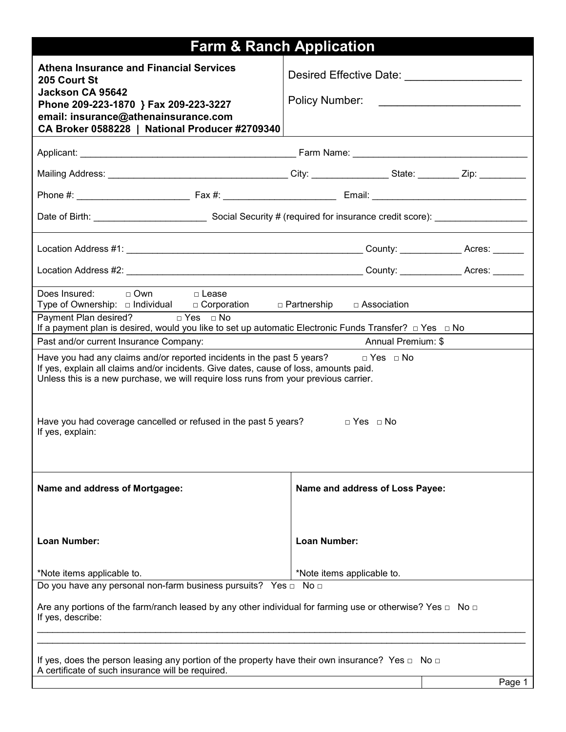|                                                                                                                                                                                                                                                                              | <b>Farm &amp; Ranch Application</b>                               |  |  |  |  |  |  |
|------------------------------------------------------------------------------------------------------------------------------------------------------------------------------------------------------------------------------------------------------------------------------|-------------------------------------------------------------------|--|--|--|--|--|--|
| <b>Athena Insurance and Financial Services</b><br>205 Court St                                                                                                                                                                                                               | Desired Effective Date: National Assembly Desired Effective Date: |  |  |  |  |  |  |
| Jackson CA 95642<br>Phone 209-223-1870 } Fax 209-223-3227                                                                                                                                                                                                                    |                                                                   |  |  |  |  |  |  |
| email: insurance@athenainsurance.com<br>CA Broker 0588228   National Producer #2709340                                                                                                                                                                                       |                                                                   |  |  |  |  |  |  |
|                                                                                                                                                                                                                                                                              |                                                                   |  |  |  |  |  |  |
|                                                                                                                                                                                                                                                                              |                                                                   |  |  |  |  |  |  |
|                                                                                                                                                                                                                                                                              |                                                                   |  |  |  |  |  |  |
|                                                                                                                                                                                                                                                                              |                                                                   |  |  |  |  |  |  |
|                                                                                                                                                                                                                                                                              |                                                                   |  |  |  |  |  |  |
|                                                                                                                                                                                                                                                                              |                                                                   |  |  |  |  |  |  |
| Does Insured: $\Box$ Own $\Box$ Lease<br>Type of Ownership: a Individual a Corporation a Partnership a Association                                                                                                                                                           |                                                                   |  |  |  |  |  |  |
| Payment Plan desired? □ Yes □ No<br>If a payment plan is desired, would you like to set up automatic Electronic Funds Transfer? $\Box$ Yes $\Box$ No                                                                                                                         |                                                                   |  |  |  |  |  |  |
| Annual Premium: \$<br>Past and/or current Insurance Company:                                                                                                                                                                                                                 |                                                                   |  |  |  |  |  |  |
| Have you had any claims and/or reported incidents in the past 5 years? $\Box$ Yes $\Box$ No<br>If yes, explain all claims and/or incidents. Give dates, cause of loss, amounts paid.<br>Unless this is a new purchase, we will require loss runs from your previous carrier. |                                                                   |  |  |  |  |  |  |
| Have you had coverage cancelled or refused in the past 5 years?<br>If yes, explain:                                                                                                                                                                                          | $\Box$ Yes $\Box$ No                                              |  |  |  |  |  |  |
| Name and address of Mortgagee:                                                                                                                                                                                                                                               | Name and address of Loss Payee:                                   |  |  |  |  |  |  |
| Loan Number:                                                                                                                                                                                                                                                                 | Loan Number:                                                      |  |  |  |  |  |  |
| *Note items applicable to.                                                                                                                                                                                                                                                   | *Note items applicable to.                                        |  |  |  |  |  |  |
| Do you have any personal non-farm business pursuits? Yes $\Box$ No $\Box$                                                                                                                                                                                                    |                                                                   |  |  |  |  |  |  |
| Are any portions of the farm/ranch leased by any other individual for farming use or otherwise? Yes $\Box$ No $\Box$<br>If yes, describe:                                                                                                                                    |                                                                   |  |  |  |  |  |  |
|                                                                                                                                                                                                                                                                              |                                                                   |  |  |  |  |  |  |
| If yes, does the person leasing any portion of the property have their own insurance? Yes $\Box$ No $\Box$<br>A certificate of such insurance will be required.                                                                                                              |                                                                   |  |  |  |  |  |  |
|                                                                                                                                                                                                                                                                              | Page 1                                                            |  |  |  |  |  |  |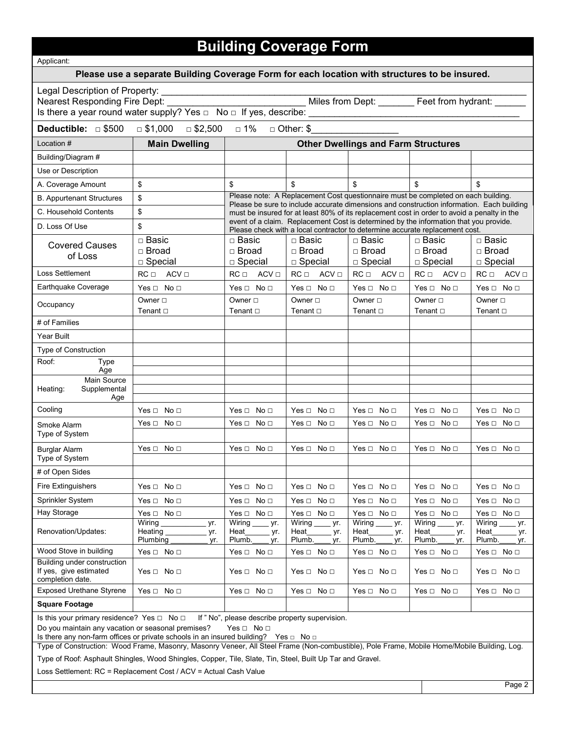# **Building Coverage Form**

| Applicant:                                                                                                                                                                                                                                                                                                                                                                                                                            |                                                                                                                                                                                      |                                                         |                                           |                                                                                                                                                                       |                                                |                                                |  |  |  |
|---------------------------------------------------------------------------------------------------------------------------------------------------------------------------------------------------------------------------------------------------------------------------------------------------------------------------------------------------------------------------------------------------------------------------------------|--------------------------------------------------------------------------------------------------------------------------------------------------------------------------------------|---------------------------------------------------------|-------------------------------------------|-----------------------------------------------------------------------------------------------------------------------------------------------------------------------|------------------------------------------------|------------------------------------------------|--|--|--|
| Please use a separate Building Coverage Form for each location with structures to be insured.                                                                                                                                                                                                                                                                                                                                         |                                                                                                                                                                                      |                                                         |                                           |                                                                                                                                                                       |                                                |                                                |  |  |  |
| Legal Description of Property:                                                                                                                                                                                                                                                                                                                                                                                                        |                                                                                                                                                                                      |                                                         |                                           |                                                                                                                                                                       |                                                |                                                |  |  |  |
| Deductible: 5500<br>$\Box$ \$1,000<br>□ 1%<br>□ \$2,500<br>$\Box$ Other: \$                                                                                                                                                                                                                                                                                                                                                           |                                                                                                                                                                                      |                                                         |                                           |                                                                                                                                                                       |                                                |                                                |  |  |  |
| Location #                                                                                                                                                                                                                                                                                                                                                                                                                            | <b>Main Dwelling</b>                                                                                                                                                                 |                                                         |                                           | <b>Other Dwellings and Farm Structures</b>                                                                                                                            |                                                |                                                |  |  |  |
| Building/Diagram #                                                                                                                                                                                                                                                                                                                                                                                                                    |                                                                                                                                                                                      |                                                         |                                           |                                                                                                                                                                       |                                                |                                                |  |  |  |
| Use or Description                                                                                                                                                                                                                                                                                                                                                                                                                    |                                                                                                                                                                                      |                                                         |                                           |                                                                                                                                                                       |                                                |                                                |  |  |  |
| A. Coverage Amount                                                                                                                                                                                                                                                                                                                                                                                                                    | \$                                                                                                                                                                                   | \$                                                      | \$                                        | \$                                                                                                                                                                    | \$                                             | \$                                             |  |  |  |
| <b>B. Appurtenant Structures</b>                                                                                                                                                                                                                                                                                                                                                                                                      | Please note: A Replacement Cost questionnaire must be completed on each building.<br>\$<br>Please be sure to include accurate dimensions and construction information. Each building |                                                         |                                           |                                                                                                                                                                       |                                                |                                                |  |  |  |
| C. Household Contents                                                                                                                                                                                                                                                                                                                                                                                                                 | \$                                                                                                                                                                                   |                                                         |                                           | must be insured for at least 80% of its replacement cost in order to avoid a penalty in the                                                                           |                                                |                                                |  |  |  |
| D. Loss Of Use                                                                                                                                                                                                                                                                                                                                                                                                                        | \$                                                                                                                                                                                   |                                                         |                                           | event of a claim. Replacement Cost is determined by the information that you provide.<br>Please check with a local contractor to determine accurate replacement cost. |                                                |                                                |  |  |  |
| <b>Covered Causes</b><br>of Loss                                                                                                                                                                                                                                                                                                                                                                                                      | $\Box$ Basic<br>$\Box$ Broad<br>$\Box$ Special                                                                                                                                       | $\Box$ Basic<br>□ Broad<br>$\Box$ Special               | $\Box$ Basic<br>□ Broad<br>$\Box$ Special | $\Box$ Basic<br>□ Broad<br>$\Box$ Special                                                                                                                             | $\Box$ Basic<br>$\Box$ Broad<br>$\Box$ Special | $\Box$ Basic<br>$\Box$ Broad<br>$\Box$ Special |  |  |  |
| <b>Loss Settlement</b>                                                                                                                                                                                                                                                                                                                                                                                                                | $RC \Box$ ACV $\Box$                                                                                                                                                                 | $RC \Box$ ACV $\Box$                                    | $RC \Box$<br>$ACV \Box$                   | $RC \Box$ ACV $\Box$                                                                                                                                                  | $RC \Box$ $ACV \Box$                           | $RC \Box$<br>$ACV \Box$                        |  |  |  |
| Earthquake Coverage                                                                                                                                                                                                                                                                                                                                                                                                                   | Yes $\Box$ No $\Box$                                                                                                                                                                 | Yes $\Box$ No $\Box$                                    | Yes $\Box$ No $\Box$                      | Yes $\Box$ No $\Box$                                                                                                                                                  | Yes $\Box$ No $\Box$                           | Yes $\Box$ No $\Box$                           |  |  |  |
| Occupancy                                                                                                                                                                                                                                                                                                                                                                                                                             | Owner $\square$                                                                                                                                                                      | Owner $\square$                                         | Owner □                                   | Owner $\square$                                                                                                                                                       | Owner □                                        | Owner □                                        |  |  |  |
| # of Families                                                                                                                                                                                                                                                                                                                                                                                                                         | Tenant $\square$                                                                                                                                                                     | Tenant □                                                | Tenant $\square$                          | Tenant $\square$                                                                                                                                                      | Tenant $\square$                               | Tenant $\square$                               |  |  |  |
| Year Built                                                                                                                                                                                                                                                                                                                                                                                                                            |                                                                                                                                                                                      |                                                         |                                           |                                                                                                                                                                       |                                                |                                                |  |  |  |
| Type of Construction                                                                                                                                                                                                                                                                                                                                                                                                                  |                                                                                                                                                                                      |                                                         |                                           |                                                                                                                                                                       |                                                |                                                |  |  |  |
| Roof:<br><b>Type</b>                                                                                                                                                                                                                                                                                                                                                                                                                  |                                                                                                                                                                                      |                                                         |                                           |                                                                                                                                                                       |                                                |                                                |  |  |  |
| Age<br>Main Source                                                                                                                                                                                                                                                                                                                                                                                                                    |                                                                                                                                                                                      |                                                         |                                           |                                                                                                                                                                       |                                                |                                                |  |  |  |
| Heating:<br>Supplemental<br>Age                                                                                                                                                                                                                                                                                                                                                                                                       |                                                                                                                                                                                      |                                                         |                                           |                                                                                                                                                                       |                                                |                                                |  |  |  |
| Cooling                                                                                                                                                                                                                                                                                                                                                                                                                               | $Yes \Box No \Box$                                                                                                                                                                   | $Yes \Box No \Box$                                      | Yes $\Box$ No $\Box$                      | Yes $\Box$ No $\Box$                                                                                                                                                  | Yes $\Box$ No $\Box$                           | $Yes \Box No \Box$                             |  |  |  |
| Smoke Alarm                                                                                                                                                                                                                                                                                                                                                                                                                           | Yes $\Box$ No $\Box$                                                                                                                                                                 | $Yes \Box No \Box$                                      | Yes $\Box$ No $\Box$                      | Yes □<br>No <sub>1</sub>                                                                                                                                              | Yes $\Box$<br>No <sub>1</sub>                  | $Yes \Box No \Box$                             |  |  |  |
| Type of System                                                                                                                                                                                                                                                                                                                                                                                                                        |                                                                                                                                                                                      |                                                         |                                           |                                                                                                                                                                       |                                                |                                                |  |  |  |
| <b>Burglar Alarm</b>                                                                                                                                                                                                                                                                                                                                                                                                                  | Yes $\Box$ No $\Box$                                                                                                                                                                 | Yes ⊡<br>No <sub>1</sub>                                | Yes $\sqcap$<br>No <sub>1</sub>           | Yes $\sqcap$ No $\sqcap$                                                                                                                                              | Yes $\sqcap$ No $\sqcap$                       | $Yes \Box No \Box$                             |  |  |  |
| Type of System                                                                                                                                                                                                                                                                                                                                                                                                                        |                                                                                                                                                                                      |                                                         |                                           |                                                                                                                                                                       |                                                |                                                |  |  |  |
| # of Open Sides                                                                                                                                                                                                                                                                                                                                                                                                                       |                                                                                                                                                                                      |                                                         |                                           |                                                                                                                                                                       |                                                |                                                |  |  |  |
| <b>Fire Extinguishers</b>                                                                                                                                                                                                                                                                                                                                                                                                             | Yes $\Box$ No $\Box$                                                                                                                                                                 | $Yes \Box No \Box$                                      | Yes $\Box$ No $\Box$                      | Yes $\Box$ No $\Box$                                                                                                                                                  | Yes $\Box$ No $\Box$                           | Yes $\Box$ No $\Box$                           |  |  |  |
| Sprinkler System                                                                                                                                                                                                                                                                                                                                                                                                                      | Yes $\Box$ No $\Box$                                                                                                                                                                 | $Yes \Box No \Box$                                      | Yes $\Box$ No $\Box$                      | Yes $\Box$ No $\Box$                                                                                                                                                  | Yes $\Box$<br>No <sub>1</sub>                  | Yes $\Box$ No $\Box$                           |  |  |  |
| Hay Storage                                                                                                                                                                                                                                                                                                                                                                                                                           | Yes $\Box$ No $\Box$<br>Wiring<br>yr.                                                                                                                                                | $Yes \Box No \Box$<br>$\overline{\text{Wiring}}$<br>yr. | Yes $\Box$ No $\Box$<br>Wiring<br>yr.     | Yes $\Box$ No $\Box$<br>Wiring<br>yr.                                                                                                                                 | Yes $\Box$ No $\Box$<br>Wiring<br>yr.          | Yes $\Box$ No $\Box$<br>Wiring<br>yr.          |  |  |  |
| Renovation/Updates:                                                                                                                                                                                                                                                                                                                                                                                                                   | <b>Heating</b><br>yr.<br>Plumbing<br>yr.                                                                                                                                             | Heat_<br>yr.<br>Plumb.<br>yr.                           | Heat<br>yr.<br>Plumb.<br>yr.              | Heat<br>yr.<br>Plumb.<br>yr.                                                                                                                                          | Heat<br>yr.<br>Plumb.<br>yr.                   | Heat<br>yr.<br>Plumb.<br>yr.                   |  |  |  |
| Wood Stove in building                                                                                                                                                                                                                                                                                                                                                                                                                | Yes $\Box$ No $\Box$                                                                                                                                                                 | Yes $\Box$ No $\Box$                                    | Yes $\Box$ No $\Box$                      | Yes $\Box$ No $\Box$                                                                                                                                                  | Yes $\Box$ No $\Box$                           | Yes $\Box$ No $\Box$                           |  |  |  |
| Building under construction<br>If yes, give estimated<br>completion date.                                                                                                                                                                                                                                                                                                                                                             | Yes $\Box$ No $\Box$                                                                                                                                                                 | $Yes \Box No \Box$                                      | Yes $\Box$ No $\Box$                      | Yes $\Box$ No $\Box$                                                                                                                                                  | Yes $\Box$ No $\Box$                           | Yes $\Box$ No $\Box$                           |  |  |  |
| <b>Exposed Urethane Styrene</b>                                                                                                                                                                                                                                                                                                                                                                                                       | Yes $\Box$ No $\Box$                                                                                                                                                                 | Yes $\Box$ No $\Box$                                    | Yes $\Box$ No $\Box$                      | Yes $\Box$ No $\Box$                                                                                                                                                  | Yes $\Box$ No $\Box$                           | Yes $\Box$ No $\Box$                           |  |  |  |
| <b>Square Footage</b>                                                                                                                                                                                                                                                                                                                                                                                                                 |                                                                                                                                                                                      |                                                         |                                           |                                                                                                                                                                       |                                                |                                                |  |  |  |
| Is this your primary residence? Yes $\Box$ No $\Box$<br>If " No", please describe property supervision.<br>Do you maintain any vacation or seasonal premises?<br>Yes $\Box$ No $\Box$<br>Is there any non-farm offices or private schools in an insured building? Yes $\Box$ No $\Box$<br>Type of Construction: Wood Frame, Masonry, Masonry Veneer, All Steel Frame (Non-combustible), Pole Frame, Mobile Home/Mobile Building, Log. |                                                                                                                                                                                      |                                                         |                                           |                                                                                                                                                                       |                                                |                                                |  |  |  |

Type of Roof: Asphault Shingles, Wood Shingles, Copper, Tile, Slate, Tin, Steel, Built Up Tar and Gravel.

Loss Settlement: RC = Replacement Cost / ACV = Actual Cash Value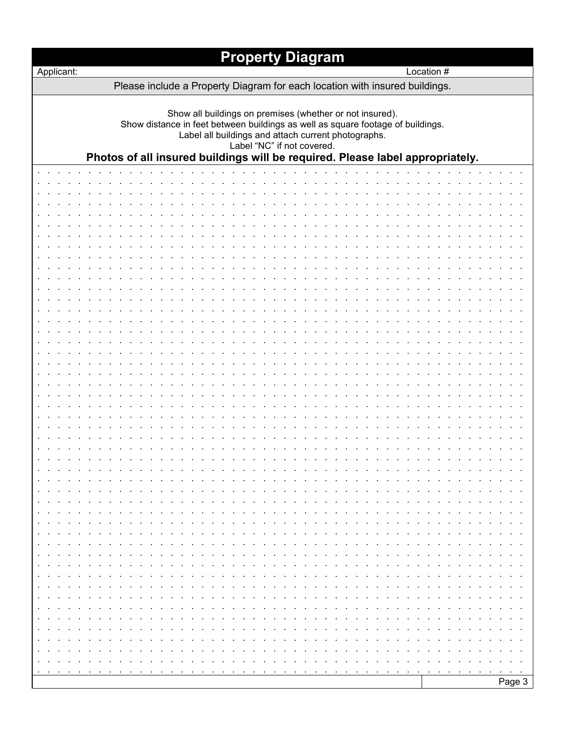|            | <b>Property Diagram</b>                                                                                                                                                                                                                                                                                           |            |  |  |  |  |  |
|------------|-------------------------------------------------------------------------------------------------------------------------------------------------------------------------------------------------------------------------------------------------------------------------------------------------------------------|------------|--|--|--|--|--|
| Applicant: |                                                                                                                                                                                                                                                                                                                   | Location # |  |  |  |  |  |
|            | Please include a Property Diagram for each location with insured buildings.                                                                                                                                                                                                                                       |            |  |  |  |  |  |
|            | Show all buildings on premises (whether or not insured).<br>Show distance in feet between buildings as well as square footage of buildings.<br>Label all buildings and attach current photographs.<br>Label "NC" if not covered.<br>Photos of all insured buildings will be required. Please label appropriately. |            |  |  |  |  |  |
|            |                                                                                                                                                                                                                                                                                                                   |            |  |  |  |  |  |
|            |                                                                                                                                                                                                                                                                                                                   |            |  |  |  |  |  |
|            |                                                                                                                                                                                                                                                                                                                   |            |  |  |  |  |  |
|            |                                                                                                                                                                                                                                                                                                                   |            |  |  |  |  |  |
|            |                                                                                                                                                                                                                                                                                                                   |            |  |  |  |  |  |
|            |                                                                                                                                                                                                                                                                                                                   |            |  |  |  |  |  |
|            |                                                                                                                                                                                                                                                                                                                   |            |  |  |  |  |  |
|            |                                                                                                                                                                                                                                                                                                                   |            |  |  |  |  |  |
|            |                                                                                                                                                                                                                                                                                                                   |            |  |  |  |  |  |
|            |                                                                                                                                                                                                                                                                                                                   |            |  |  |  |  |  |
|            |                                                                                                                                                                                                                                                                                                                   |            |  |  |  |  |  |
|            |                                                                                                                                                                                                                                                                                                                   |            |  |  |  |  |  |
|            |                                                                                                                                                                                                                                                                                                                   |            |  |  |  |  |  |
|            |                                                                                                                                                                                                                                                                                                                   |            |  |  |  |  |  |
|            |                                                                                                                                                                                                                                                                                                                   |            |  |  |  |  |  |
|            |                                                                                                                                                                                                                                                                                                                   |            |  |  |  |  |  |
|            |                                                                                                                                                                                                                                                                                                                   |            |  |  |  |  |  |
|            |                                                                                                                                                                                                                                                                                                                   |            |  |  |  |  |  |
|            |                                                                                                                                                                                                                                                                                                                   |            |  |  |  |  |  |
|            |                                                                                                                                                                                                                                                                                                                   |            |  |  |  |  |  |
|            |                                                                                                                                                                                                                                                                                                                   |            |  |  |  |  |  |
|            |                                                                                                                                                                                                                                                                                                                   |            |  |  |  |  |  |
|            |                                                                                                                                                                                                                                                                                                                   |            |  |  |  |  |  |
|            |                                                                                                                                                                                                                                                                                                                   |            |  |  |  |  |  |
|            |                                                                                                                                                                                                                                                                                                                   |            |  |  |  |  |  |
|            |                                                                                                                                                                                                                                                                                                                   |            |  |  |  |  |  |
|            |                                                                                                                                                                                                                                                                                                                   |            |  |  |  |  |  |
|            |                                                                                                                                                                                                                                                                                                                   |            |  |  |  |  |  |
|            |                                                                                                                                                                                                                                                                                                                   |            |  |  |  |  |  |
|            |                                                                                                                                                                                                                                                                                                                   |            |  |  |  |  |  |
|            |                                                                                                                                                                                                                                                                                                                   |            |  |  |  |  |  |
|            |                                                                                                                                                                                                                                                                                                                   |            |  |  |  |  |  |
|            |                                                                                                                                                                                                                                                                                                                   |            |  |  |  |  |  |
|            |                                                                                                                                                                                                                                                                                                                   |            |  |  |  |  |  |
|            |                                                                                                                                                                                                                                                                                                                   |            |  |  |  |  |  |
|            |                                                                                                                                                                                                                                                                                                                   |            |  |  |  |  |  |
|            |                                                                                                                                                                                                                                                                                                                   |            |  |  |  |  |  |
|            |                                                                                                                                                                                                                                                                                                                   |            |  |  |  |  |  |
|            |                                                                                                                                                                                                                                                                                                                   |            |  |  |  |  |  |
|            |                                                                                                                                                                                                                                                                                                                   | Page 3     |  |  |  |  |  |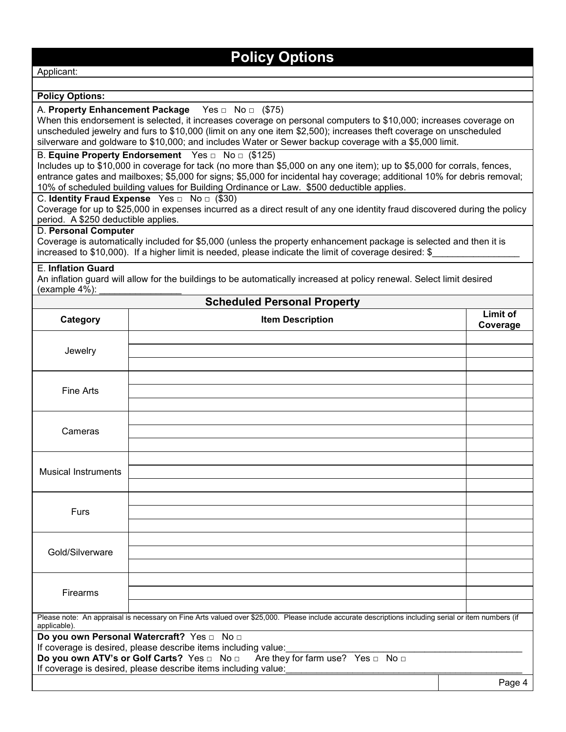### **Policy Options**

Applicant:

#### **Policy Options:**

#### A. **Property Enhancement Package** Yes □ No □ (\$75)

When this endorsement is selected, it increases coverage on personal computers to \$10,000; increases coverage on unscheduled jewelry and furs to \$10,000 (limit on any one item \$2,500); increases theft coverage on unscheduled silverware and goldware to \$10,000; and includes Water or Sewer backup coverage with a \$5,000 limit.

#### B. **Equine Property Endorsement** Yes □ No □ (\$125)

Includes up to \$10,000 in coverage for tack (no more than \$5,000 on any one item); up to \$5,000 for corrals, fences, entrance gates and mailboxes; \$5,000 for signs; \$5,000 for incidental hay coverage; additional 10% for debris removal; 10% of scheduled building values for Building Ordinance or Law. \$500 deductible applies.

#### C. **Identity Fraud Expense** Yes □ No □ (\$30)

Coverage for up to \$25,000 in expenses incurred as a direct result of any one identity fraud discovered during the policy period. A \$250 deductible applies.

**Scheduled Personal Property**

#### D. **Personal Computer**

Coverage is automatically included for \$5,000 (unless the property enhancement package is selected and then it is increased to \$10,000). If a higher limit is needed, please indicate the limit of coverage desired: \$

#### E. **Inflation Guard**

An inflation guard will allow for the buildings to be automatically increased at policy renewal. Select limit desired (example  $4\%$ ):

| Scheduled Personal Property                                                  |                                                                                                                                                     |                      |  |  |  |  |
|------------------------------------------------------------------------------|-----------------------------------------------------------------------------------------------------------------------------------------------------|----------------------|--|--|--|--|
| Category                                                                     | <b>Item Description</b>                                                                                                                             | Limit of<br>Coverage |  |  |  |  |
|                                                                              |                                                                                                                                                     |                      |  |  |  |  |
| Jewelry                                                                      |                                                                                                                                                     |                      |  |  |  |  |
|                                                                              |                                                                                                                                                     |                      |  |  |  |  |
|                                                                              |                                                                                                                                                     |                      |  |  |  |  |
| Fine Arts                                                                    |                                                                                                                                                     |                      |  |  |  |  |
|                                                                              |                                                                                                                                                     |                      |  |  |  |  |
|                                                                              |                                                                                                                                                     |                      |  |  |  |  |
| Cameras                                                                      |                                                                                                                                                     |                      |  |  |  |  |
|                                                                              |                                                                                                                                                     |                      |  |  |  |  |
|                                                                              |                                                                                                                                                     |                      |  |  |  |  |
| <b>Musical Instruments</b>                                                   |                                                                                                                                                     |                      |  |  |  |  |
|                                                                              |                                                                                                                                                     |                      |  |  |  |  |
|                                                                              |                                                                                                                                                     |                      |  |  |  |  |
| Furs                                                                         |                                                                                                                                                     |                      |  |  |  |  |
|                                                                              |                                                                                                                                                     |                      |  |  |  |  |
|                                                                              |                                                                                                                                                     |                      |  |  |  |  |
| Gold/Silverware                                                              |                                                                                                                                                     |                      |  |  |  |  |
|                                                                              |                                                                                                                                                     |                      |  |  |  |  |
| Firearms                                                                     |                                                                                                                                                     |                      |  |  |  |  |
|                                                                              |                                                                                                                                                     |                      |  |  |  |  |
|                                                                              | Please note: An appraisal is necessary on Fine Arts valued over \$25,000. Please include accurate descriptions including serial or item numbers (if |                      |  |  |  |  |
| applicable).                                                                 |                                                                                                                                                     |                      |  |  |  |  |
|                                                                              | Do you own Personal Watercraft? Yes non                                                                                                             |                      |  |  |  |  |
| If coverage is desired, please describe items including value:               |                                                                                                                                                     |                      |  |  |  |  |
| Do you own ATV's or Golf Carts? Yes n No n Are they for farm use? Yes n No n |                                                                                                                                                     |                      |  |  |  |  |
|                                                                              | If coverage is desired, please describe items including value:                                                                                      |                      |  |  |  |  |
|                                                                              |                                                                                                                                                     | Page 4               |  |  |  |  |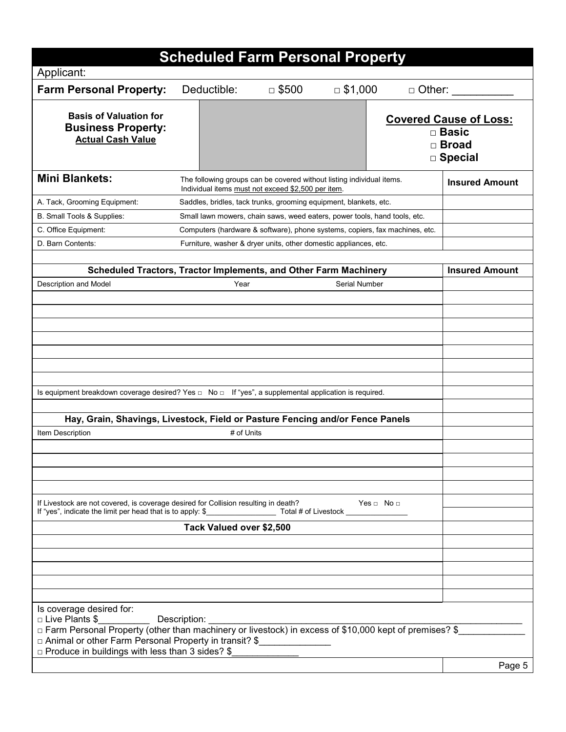|                                                                                                                                                                                                                         | <b>Scheduled Farm Personal Property</b>                                                                                     |              |                    |               |                                                                          |
|-------------------------------------------------------------------------------------------------------------------------------------------------------------------------------------------------------------------------|-----------------------------------------------------------------------------------------------------------------------------|--------------|--------------------|---------------|--------------------------------------------------------------------------|
| Applicant:                                                                                                                                                                                                              |                                                                                                                             |              |                    |               |                                                                          |
| <b>Farm Personal Property:</b>                                                                                                                                                                                          | Deductible:                                                                                                                 | $\Box$ \$500 | $\Box$ \$1,000     | $\Box$ Other: |                                                                          |
| <b>Basis of Valuation for</b><br><b>Business Property:</b><br><b>Actual Cash Value</b>                                                                                                                                  |                                                                                                                             |              |                    |               | <b>Covered Cause of Loss:</b><br>$\square$ Basic<br>□ Broad<br>□ Special |
| <b>Mini Blankets:</b>                                                                                                                                                                                                   | The following groups can be covered without listing individual items.<br>Individual items must not exceed \$2,500 per item. |              |                    |               | <b>Insured Amount</b>                                                    |
| A. Tack, Grooming Equipment:                                                                                                                                                                                            | Saddles, bridles, tack trunks, grooming equipment, blankets, etc.                                                           |              |                    |               |                                                                          |
| B. Small Tools & Supplies:                                                                                                                                                                                              | Small lawn mowers, chain saws, weed eaters, power tools, hand tools, etc.                                                   |              |                    |               |                                                                          |
| C. Office Equipment:                                                                                                                                                                                                    | Computers (hardware & software), phone systems, copiers, fax machines, etc.                                                 |              |                    |               |                                                                          |
| D. Barn Contents:                                                                                                                                                                                                       | Furniture, washer & dryer units, other domestic appliances, etc.                                                            |              |                    |               |                                                                          |
|                                                                                                                                                                                                                         |                                                                                                                             |              |                    |               |                                                                          |
| Scheduled Tractors, Tractor Implements, and Other Farm Machinery                                                                                                                                                        |                                                                                                                             |              |                    |               | <b>Insured Amount</b>                                                    |
| Description and Model                                                                                                                                                                                                   | Year                                                                                                                        |              | Serial Number      |               |                                                                          |
|                                                                                                                                                                                                                         |                                                                                                                             |              |                    |               |                                                                          |
|                                                                                                                                                                                                                         |                                                                                                                             |              |                    |               |                                                                          |
|                                                                                                                                                                                                                         |                                                                                                                             |              |                    |               |                                                                          |
|                                                                                                                                                                                                                         |                                                                                                                             |              |                    |               |                                                                          |
|                                                                                                                                                                                                                         |                                                                                                                             |              |                    |               |                                                                          |
|                                                                                                                                                                                                                         |                                                                                                                             |              |                    |               |                                                                          |
| Is equipment breakdown coverage desired? Yes $\Box$ No $\Box$ If "yes", a supplemental application is required.                                                                                                         |                                                                                                                             |              |                    |               |                                                                          |
|                                                                                                                                                                                                                         |                                                                                                                             |              |                    |               |                                                                          |
| Hay, Grain, Shavings, Livestock, Field or Pasture Fencing and/or Fence Panels                                                                                                                                           |                                                                                                                             |              |                    |               |                                                                          |
| Item Description                                                                                                                                                                                                        | # of Units                                                                                                                  |              |                    |               |                                                                          |
|                                                                                                                                                                                                                         |                                                                                                                             |              |                    |               |                                                                          |
|                                                                                                                                                                                                                         |                                                                                                                             |              |                    |               |                                                                          |
|                                                                                                                                                                                                                         |                                                                                                                             |              |                    |               |                                                                          |
|                                                                                                                                                                                                                         |                                                                                                                             |              |                    |               |                                                                          |
| If Livestock are not covered, is coverage desired for Collision resulting in death?                                                                                                                                     |                                                                                                                             |              | $Yes \Box No \Box$ |               |                                                                          |
|                                                                                                                                                                                                                         | Tack Valued over \$2,500                                                                                                    |              |                    |               |                                                                          |
|                                                                                                                                                                                                                         |                                                                                                                             |              |                    |               |                                                                          |
|                                                                                                                                                                                                                         |                                                                                                                             |              |                    |               |                                                                          |
|                                                                                                                                                                                                                         |                                                                                                                             |              |                    |               |                                                                          |
|                                                                                                                                                                                                                         |                                                                                                                             |              |                    |               |                                                                          |
|                                                                                                                                                                                                                         |                                                                                                                             |              |                    |               |                                                                          |
| Is coverage desired for:                                                                                                                                                                                                |                                                                                                                             |              |                    |               |                                                                          |
| □ Live Plants \$                                                                                                                                                                                                        | Description:                                                                                                                |              |                    |               |                                                                          |
| □ Farm Personal Property (other than machinery or livestock) in excess of \$10,000 kept of premises? \$<br>□ Animal or other Farm Personal Property in transit? \$<br>□ Produce in buildings with less than 3 sides? \$ |                                                                                                                             |              |                    |               |                                                                          |
|                                                                                                                                                                                                                         |                                                                                                                             |              |                    |               | Page 5                                                                   |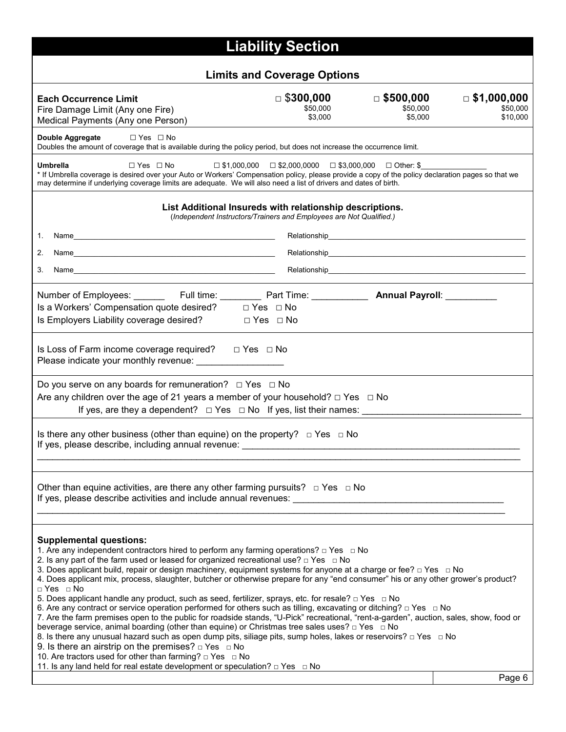| <b>Liability Section</b>                                                                                                                                                                                                                                                                                                                                                                                                                                                                                                                                                                                                                                                                                                                                                                                                                                                                                                                                                                                                                                                                                                                                                                                                                                                                                                                                                                  |                              |                              |                                |  |  |  |  |  |  |  |
|-------------------------------------------------------------------------------------------------------------------------------------------------------------------------------------------------------------------------------------------------------------------------------------------------------------------------------------------------------------------------------------------------------------------------------------------------------------------------------------------------------------------------------------------------------------------------------------------------------------------------------------------------------------------------------------------------------------------------------------------------------------------------------------------------------------------------------------------------------------------------------------------------------------------------------------------------------------------------------------------------------------------------------------------------------------------------------------------------------------------------------------------------------------------------------------------------------------------------------------------------------------------------------------------------------------------------------------------------------------------------------------------|------------------------------|------------------------------|--------------------------------|--|--|--|--|--|--|--|
| <b>Limits and Coverage Options</b>                                                                                                                                                                                                                                                                                                                                                                                                                                                                                                                                                                                                                                                                                                                                                                                                                                                                                                                                                                                                                                                                                                                                                                                                                                                                                                                                                        |                              |                              |                                |  |  |  |  |  |  |  |
| <b>Each Occurrence Limit</b><br>Fire Damage Limit (Any one Fire)                                                                                                                                                                                                                                                                                                                                                                                                                                                                                                                                                                                                                                                                                                                                                                                                                                                                                                                                                                                                                                                                                                                                                                                                                                                                                                                          | $\Box$ \$300,000<br>\$50,000 | $\Box$ \$500,000<br>\$50,000 | $\Box$ \$1,000,000<br>\$50,000 |  |  |  |  |  |  |  |
| Medical Payments (Any one Person)                                                                                                                                                                                                                                                                                                                                                                                                                                                                                                                                                                                                                                                                                                                                                                                                                                                                                                                                                                                                                                                                                                                                                                                                                                                                                                                                                         | \$3,000                      | \$5,000                      | \$10,000                       |  |  |  |  |  |  |  |
| Double Aggregate<br>$\Box$ Yes $\Box$ No<br>Doubles the amount of coverage that is available during the policy period, but does not increase the occurrence limit.                                                                                                                                                                                                                                                                                                                                                                                                                                                                                                                                                                                                                                                                                                                                                                                                                                                                                                                                                                                                                                                                                                                                                                                                                        |                              |                              |                                |  |  |  |  |  |  |  |
| <b>Umbrella</b><br>$\Box$ Yes $\Box$ No<br>$\Box$ \$1,000,000 $\Box$ \$2,000,0000 $\Box$ \$3,000,000 $\Box$ Other: \$<br>* If Umbrella coverage is desired over your Auto or Workers' Compensation policy, please provide a copy of the policy declaration pages so that we<br>may determine if underlying coverage limits are adequate. We will also need a list of drivers and dates of birth.                                                                                                                                                                                                                                                                                                                                                                                                                                                                                                                                                                                                                                                                                                                                                                                                                                                                                                                                                                                          |                              |                              |                                |  |  |  |  |  |  |  |
| List Additional Insureds with relationship descriptions.<br>(Independent Instructors/Trainers and Employees are Not Qualified.)                                                                                                                                                                                                                                                                                                                                                                                                                                                                                                                                                                                                                                                                                                                                                                                                                                                                                                                                                                                                                                                                                                                                                                                                                                                           |                              |                              |                                |  |  |  |  |  |  |  |
| 1.                                                                                                                                                                                                                                                                                                                                                                                                                                                                                                                                                                                                                                                                                                                                                                                                                                                                                                                                                                                                                                                                                                                                                                                                                                                                                                                                                                                        |                              |                              |                                |  |  |  |  |  |  |  |
| 2.                                                                                                                                                                                                                                                                                                                                                                                                                                                                                                                                                                                                                                                                                                                                                                                                                                                                                                                                                                                                                                                                                                                                                                                                                                                                                                                                                                                        |                              |                              |                                |  |  |  |  |  |  |  |
| 3.                                                                                                                                                                                                                                                                                                                                                                                                                                                                                                                                                                                                                                                                                                                                                                                                                                                                                                                                                                                                                                                                                                                                                                                                                                                                                                                                                                                        |                              |                              |                                |  |  |  |  |  |  |  |
| Is a Workers' Compensation quote desired? □ Yes □ No<br>Is Employers Liability coverage desired?<br>$\square$ Yes $\square$ No                                                                                                                                                                                                                                                                                                                                                                                                                                                                                                                                                                                                                                                                                                                                                                                                                                                                                                                                                                                                                                                                                                                                                                                                                                                            |                              |                              |                                |  |  |  |  |  |  |  |
| Is Loss of Farm income coverage required? $\Box$ Yes $\Box$ No<br>Please indicate your monthly revenue: ___________________                                                                                                                                                                                                                                                                                                                                                                                                                                                                                                                                                                                                                                                                                                                                                                                                                                                                                                                                                                                                                                                                                                                                                                                                                                                               |                              |                              |                                |  |  |  |  |  |  |  |
| Do you serve on any boards for remuneration? $\Box$ Yes $\Box$ No<br>Are any children over the age of 21 years a member of your household? $\Box$ Yes $\Box$ No<br>If yes, are they a dependent? $\Box$ Yes $\Box$ No If yes, list their names:                                                                                                                                                                                                                                                                                                                                                                                                                                                                                                                                                                                                                                                                                                                                                                                                                                                                                                                                                                                                                                                                                                                                           |                              |                              |                                |  |  |  |  |  |  |  |
| Is there any other business (other than equine) on the property? $\Box$ Yes $\Box$ No<br>If yes, please describe, including annual revenue:                                                                                                                                                                                                                                                                                                                                                                                                                                                                                                                                                                                                                                                                                                                                                                                                                                                                                                                                                                                                                                                                                                                                                                                                                                               |                              |                              |                                |  |  |  |  |  |  |  |
| Other than equine activities, are there any other farming pursuits? $\Box$ Yes $\Box$ No<br>If yes, please describe activities and include annual revenues: Letteral and the state of the state of the state of the state of the state of the state of the state of the state of the state of the state of the state of th                                                                                                                                                                                                                                                                                                                                                                                                                                                                                                                                                                                                                                                                                                                                                                                                                                                                                                                                                                                                                                                                |                              |                              |                                |  |  |  |  |  |  |  |
| <b>Supplemental questions:</b><br>1. Are any independent contractors hired to perform any farming operations? $\Box$ Yes $\Box$ No<br>2. Is any part of the farm used or leased for organized recreational use? $\Box$ Yes $\Box$ No<br>3. Does applicant build, repair or design machinery, equipment systems for anyone at a charge or fee? $\Box$ Yes $\Box$ No<br>4. Does applicant mix, process, slaughter, butcher or otherwise prepare for any "end consumer" his or any other grower's product?<br>$\Box$ Yes $\Box$ No<br>5. Does applicant handle any product, such as seed, fertilizer, sprays, etc. for resale? $\Box$ Yes $\Box$ No<br>6. Are any contract or service operation performed for others such as tilling, excavating or ditching? $\Box$ Yes $\Box$ No<br>7. Are the farm premises open to the public for roadside stands, "U-Pick" recreational, "rent-a-garden", auction, sales, show, food or<br>beverage service, animal boarding (other than equine) or Christmas tree sales uses? □ Yes □ No<br>8. Is there any unusual hazard such as open dump pits, siliage pits, sump holes, lakes or reservoirs? □ Yes □ No<br>9. Is there an airstrip on the premises? $\Box$ Yes $\Box$ No<br>10. Are tractors used for other than farming? $\Box$ Yes $\Box$ No<br>11. Is any land held for real estate development or speculation? $\Box$ Yes $\Box$ No<br>Page 6 |                              |                              |                                |  |  |  |  |  |  |  |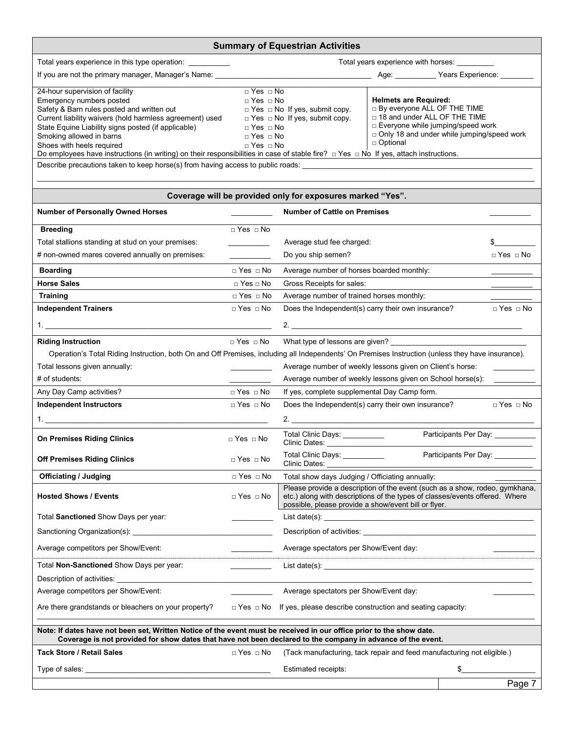| <b>Summary of Equestrian Activities</b>                                                                                                                                                                                                                                                                                                                                  |                                                                                                                                                                                                                                                                                                                                                                                                                                                                                                                                                                                                    |                                                                                                                                                                                                                                                                                                                 |  |                            |  |  |  |
|--------------------------------------------------------------------------------------------------------------------------------------------------------------------------------------------------------------------------------------------------------------------------------------------------------------------------------------------------------------------------|----------------------------------------------------------------------------------------------------------------------------------------------------------------------------------------------------------------------------------------------------------------------------------------------------------------------------------------------------------------------------------------------------------------------------------------------------------------------------------------------------------------------------------------------------------------------------------------------------|-----------------------------------------------------------------------------------------------------------------------------------------------------------------------------------------------------------------------------------------------------------------------------------------------------------------|--|----------------------------|--|--|--|
| Total years experience in this type operation: ___________                                                                                                                                                                                                                                                                                                               | Total years experience with horses: ______                                                                                                                                                                                                                                                                                                                                                                                                                                                                                                                                                         |                                                                                                                                                                                                                                                                                                                 |  |                            |  |  |  |
| If you are not the primary manager, Manager's Name: ____________                                                                                                                                                                                                                                                                                                         |                                                                                                                                                                                                                                                                                                                                                                                                                                                                                                                                                                                                    |                                                                                                                                                                                                                                                                                                                 |  |                            |  |  |  |
| 24-hour supervision of facility<br>Emergency numbers posted<br>Safety & Barn rules posted and written out<br>Current liability waivers (hold harmless agreement) used<br>State Equine Liability signs posted (if applicable)<br>Smoking allowed in barns<br>Shoes with heels required<br>Describe precautions taken to keep horse(s) from having access to public roads: | $\sqrt{P}$ Yes $\sqrt{Q}$ No<br><b>Helmets are Required:</b><br>$\Box$ Yes $\Box$ No<br><b>D</b> By everyone ALL OF THE TIME<br>$\Box$ Yes $\Box$ No If yes, submit copy.<br>□ 18 and under ALL OF THE TIME<br>$\Box$ Yes $\Box$ No If yes, submit copy.<br>$\Box$ Everyone while jumping/speed work<br>$\Box$ Yes $\Box$ No<br>$\Box$ Only 18 and under while jumping/speed work<br>$\Box$ Yes $\Box$ No<br>□ Optional<br>$\Box$ Yes $\Box$ No<br>Do employees have instructions (in writing) on their responsibilities in case of stable fire? $\Box$ Yes $\Box$ No If yes, attach instructions. |                                                                                                                                                                                                                                                                                                                 |  |                            |  |  |  |
|                                                                                                                                                                                                                                                                                                                                                                          |                                                                                                                                                                                                                                                                                                                                                                                                                                                                                                                                                                                                    | Coverage will be provided only for exposures marked "Yes".                                                                                                                                                                                                                                                      |  |                            |  |  |  |
| <b>Number of Personally Owned Horses</b>                                                                                                                                                                                                                                                                                                                                 |                                                                                                                                                                                                                                                                                                                                                                                                                                                                                                                                                                                                    | <b>Number of Cattle on Premises</b>                                                                                                                                                                                                                                                                             |  |                            |  |  |  |
| <b>Breeding</b><br>Total stallions standing at stud on your premises:<br># non-owned mares covered annually on premises:                                                                                                                                                                                                                                                 | $\Box$ Yes $\Box$ No<br><u> 1999 - Jan James Barnett</u>                                                                                                                                                                                                                                                                                                                                                                                                                                                                                                                                           | Average stud fee charged:<br>Do you ship semen?                                                                                                                                                                                                                                                                 |  | \$<br>$\Box$ Yes $\Box$ No |  |  |  |
| <b>Boarding</b>                                                                                                                                                                                                                                                                                                                                                          | $\Box$ Yes $\Box$ No                                                                                                                                                                                                                                                                                                                                                                                                                                                                                                                                                                               | Average number of horses boarded monthly:                                                                                                                                                                                                                                                                       |  |                            |  |  |  |
| <b>Horse Sales</b>                                                                                                                                                                                                                                                                                                                                                       | $\Box$ Yes $\Box$ No                                                                                                                                                                                                                                                                                                                                                                                                                                                                                                                                                                               | Gross Receipts for sales:                                                                                                                                                                                                                                                                                       |  |                            |  |  |  |
| <b>Training</b>                                                                                                                                                                                                                                                                                                                                                          | $\Box$ Yes $\Box$ No                                                                                                                                                                                                                                                                                                                                                                                                                                                                                                                                                                               | Average number of trained horses monthly:                                                                                                                                                                                                                                                                       |  |                            |  |  |  |
| <b>Independent Trainers</b>                                                                                                                                                                                                                                                                                                                                              | $\Box$ Yes $\Box$ No                                                                                                                                                                                                                                                                                                                                                                                                                                                                                                                                                                               | Does the Independent(s) carry their own insurance?                                                                                                                                                                                                                                                              |  | $\Box$ Yes $\Box$ No       |  |  |  |
|                                                                                                                                                                                                                                                                                                                                                                          |                                                                                                                                                                                                                                                                                                                                                                                                                                                                                                                                                                                                    | 2.                                                                                                                                                                                                                                                                                                              |  |                            |  |  |  |
| <b>Riding Instruction</b><br>Total lessons given annually:<br># of students:                                                                                                                                                                                                                                                                                             | $\Box$ Yes $\Box$ No                                                                                                                                                                                                                                                                                                                                                                                                                                                                                                                                                                               | What type of lessons are given?<br>Operation's Total Riding Instruction, both On and Off Premises, including all Independents' On Premises Instruction (unless they have insurance).<br>Average number of weekly lessons given on Client's horse:<br>Average number of weekly lessons given on School horse(s): |  |                            |  |  |  |
| Any Day Camp activities?                                                                                                                                                                                                                                                                                                                                                 | $\Box$ Yes $\Box$ No                                                                                                                                                                                                                                                                                                                                                                                                                                                                                                                                                                               | If yes, complete supplemental Day Camp form.                                                                                                                                                                                                                                                                    |  |                            |  |  |  |
| <b>Independent Instructors</b>                                                                                                                                                                                                                                                                                                                                           | $\Box$ Yes $\Box$ No                                                                                                                                                                                                                                                                                                                                                                                                                                                                                                                                                                               | Does the Independent(s) carry their own insurance?<br>$\Box$ Yes $\Box$ No                                                                                                                                                                                                                                      |  |                            |  |  |  |
|                                                                                                                                                                                                                                                                                                                                                                          |                                                                                                                                                                                                                                                                                                                                                                                                                                                                                                                                                                                                    |                                                                                                                                                                                                                                                                                                                 |  |                            |  |  |  |
| <b>On Premises Riding Clinics</b>                                                                                                                                                                                                                                                                                                                                        | $\Box$ Yes $\Box$ No                                                                                                                                                                                                                                                                                                                                                                                                                                                                                                                                                                               | Participants Per Day: __________<br>Total Clinic Days: __________<br>Clinic Dates: The Clinic Dates:                                                                                                                                                                                                            |  |                            |  |  |  |
| <b>Off Premises Riding Clinics</b>                                                                                                                                                                                                                                                                                                                                       | $\Box$ Yes $\Box$ No                                                                                                                                                                                                                                                                                                                                                                                                                                                                                                                                                                               | Participants Per Day:<br>Total Clinic Days: ___________<br>Clinic Dates:                                                                                                                                                                                                                                        |  |                            |  |  |  |
| <b>Officiating / Judging</b>                                                                                                                                                                                                                                                                                                                                             | $\Box$ Yes $\Box$ No                                                                                                                                                                                                                                                                                                                                                                                                                                                                                                                                                                               | Total show days Judging / Officiating annually:                                                                                                                                                                                                                                                                 |  |                            |  |  |  |
| <b>Hosted Shows / Events</b>                                                                                                                                                                                                                                                                                                                                             | $\Box$ Yes $\Box$ No                                                                                                                                                                                                                                                                                                                                                                                                                                                                                                                                                                               | Please provide a description of the event (such as a show, rodeo, gymkhana,<br>etc.) along with descriptions of the types of classes/events offered. Where<br>possible, please provide a show/event bill or flyer.                                                                                              |  |                            |  |  |  |
| Total Sanctioned Show Days per year:                                                                                                                                                                                                                                                                                                                                     |                                                                                                                                                                                                                                                                                                                                                                                                                                                                                                                                                                                                    |                                                                                                                                                                                                                                                                                                                 |  |                            |  |  |  |
| Sanctioning Organization(s):                                                                                                                                                                                                                                                                                                                                             |                                                                                                                                                                                                                                                                                                                                                                                                                                                                                                                                                                                                    |                                                                                                                                                                                                                                                                                                                 |  |                            |  |  |  |
| Average competitors per Show/Event:                                                                                                                                                                                                                                                                                                                                      |                                                                                                                                                                                                                                                                                                                                                                                                                                                                                                                                                                                                    | Average spectators per Show/Event day:                                                                                                                                                                                                                                                                          |  |                            |  |  |  |
| Total Non-Sanctioned Show Days per year:                                                                                                                                                                                                                                                                                                                                 |                                                                                                                                                                                                                                                                                                                                                                                                                                                                                                                                                                                                    |                                                                                                                                                                                                                                                                                                                 |  |                            |  |  |  |
| Description of activities:<br><u>Description</u> of activities:                                                                                                                                                                                                                                                                                                          |                                                                                                                                                                                                                                                                                                                                                                                                                                                                                                                                                                                                    |                                                                                                                                                                                                                                                                                                                 |  |                            |  |  |  |
| Average competitors per Show/Event:                                                                                                                                                                                                                                                                                                                                      |                                                                                                                                                                                                                                                                                                                                                                                                                                                                                                                                                                                                    | Average spectators per Show/Event day:                                                                                                                                                                                                                                                                          |  |                            |  |  |  |
| Are there grandstands or bleachers on your property?                                                                                                                                                                                                                                                                                                                     |                                                                                                                                                                                                                                                                                                                                                                                                                                                                                                                                                                                                    | $\Box$ Yes $\Box$ No If yes, please describe construction and seating capacity:                                                                                                                                                                                                                                 |  |                            |  |  |  |
| Note: If dates have not been set, Written Notice of the event must be received in our office prior to the show date.<br>Coverage is not provided for show dates that have not been declared to the company in advance of the event.                                                                                                                                      |                                                                                                                                                                                                                                                                                                                                                                                                                                                                                                                                                                                                    |                                                                                                                                                                                                                                                                                                                 |  |                            |  |  |  |
| <b>Tack Store / Retail Sales</b>                                                                                                                                                                                                                                                                                                                                         | $\Box$ Yes $\Box$ No                                                                                                                                                                                                                                                                                                                                                                                                                                                                                                                                                                               | (Tack manufacturing, tack repair and feed manufacturing not eligible.)                                                                                                                                                                                                                                          |  |                            |  |  |  |
|                                                                                                                                                                                                                                                                                                                                                                          |                                                                                                                                                                                                                                                                                                                                                                                                                                                                                                                                                                                                    | Estimated receipts:                                                                                                                                                                                                                                                                                             |  |                            |  |  |  |
|                                                                                                                                                                                                                                                                                                                                                                          |                                                                                                                                                                                                                                                                                                                                                                                                                                                                                                                                                                                                    |                                                                                                                                                                                                                                                                                                                 |  | Page 7                     |  |  |  |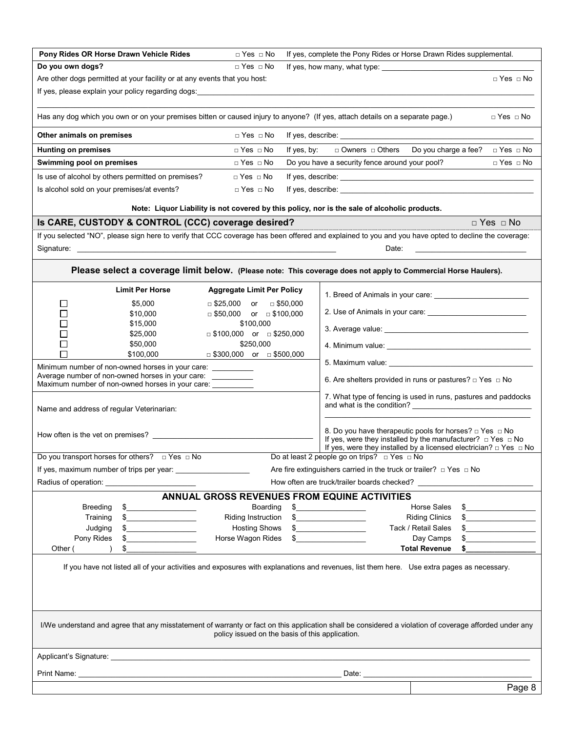| Pony Rides OR Horse Drawn Vehicle Rides                                                                                                                                                                                                                                                                                                                        | $\Box$ Yes $\Box$ No                              | If yes, complete the Pony Rides or Horse Drawn Rides supplemental.                                                                                                                                                                                                                                                                                                                                                                                                                                                                                                                                                                                                                                                                                                                 |  |  |  |  |
|----------------------------------------------------------------------------------------------------------------------------------------------------------------------------------------------------------------------------------------------------------------------------------------------------------------------------------------------------------------|---------------------------------------------------|------------------------------------------------------------------------------------------------------------------------------------------------------------------------------------------------------------------------------------------------------------------------------------------------------------------------------------------------------------------------------------------------------------------------------------------------------------------------------------------------------------------------------------------------------------------------------------------------------------------------------------------------------------------------------------------------------------------------------------------------------------------------------------|--|--|--|--|
| Do you own dogs?                                                                                                                                                                                                                                                                                                                                               | $\Box$ Yes $\Box$ No                              |                                                                                                                                                                                                                                                                                                                                                                                                                                                                                                                                                                                                                                                                                                                                                                                    |  |  |  |  |
| Are other dogs permitted at your facility or at any events that you host:                                                                                                                                                                                                                                                                                      |                                                   | $\Box$ Yes $\Box$ No                                                                                                                                                                                                                                                                                                                                                                                                                                                                                                                                                                                                                                                                                                                                                               |  |  |  |  |
|                                                                                                                                                                                                                                                                                                                                                                |                                                   | If yes, please explain your policy regarding dogs: explanation of the control of the control of the control of the control of the control of the control of the control of the control of the control of the control of the co                                                                                                                                                                                                                                                                                                                                                                                                                                                                                                                                                     |  |  |  |  |
|                                                                                                                                                                                                                                                                                                                                                                |                                                   | Has any dog which you own or on your premises bitten or caused injury to anyone? (If yes, attach details on a separate page.)<br>$\Box$ Yes $\Box$ No                                                                                                                                                                                                                                                                                                                                                                                                                                                                                                                                                                                                                              |  |  |  |  |
| Other animals on premises                                                                                                                                                                                                                                                                                                                                      | $\Box$ Yes $\Box$ No                              |                                                                                                                                                                                                                                                                                                                                                                                                                                                                                                                                                                                                                                                                                                                                                                                    |  |  |  |  |
| <b>Hunting on premises</b>                                                                                                                                                                                                                                                                                                                                     | $\Box$ Yes $\Box$ No                              | If yes, by:<br>□ Owners □ Others<br>Do you charge a fee?<br>$\Box$ Yes $\Box$ No                                                                                                                                                                                                                                                                                                                                                                                                                                                                                                                                                                                                                                                                                                   |  |  |  |  |
| Swimming pool on premises                                                                                                                                                                                                                                                                                                                                      | $\Box$ Yes $\Box$ No                              | Do you have a security fence around your pool?<br>$\Box$ Yes $\Box$ No                                                                                                                                                                                                                                                                                                                                                                                                                                                                                                                                                                                                                                                                                                             |  |  |  |  |
| Is use of alcohol by others permitted on premises?                                                                                                                                                                                                                                                                                                             | $\Box$ Yes $\Box$ No                              |                                                                                                                                                                                                                                                                                                                                                                                                                                                                                                                                                                                                                                                                                                                                                                                    |  |  |  |  |
| Is alcohol sold on your premises/at events?                                                                                                                                                                                                                                                                                                                    | $\Box$ Yes $\Box$ No                              |                                                                                                                                                                                                                                                                                                                                                                                                                                                                                                                                                                                                                                                                                                                                                                                    |  |  |  |  |
|                                                                                                                                                                                                                                                                                                                                                                |                                                   | Note: Liquor Liability is not covered by this policy, nor is the sale of alcoholic products.                                                                                                                                                                                                                                                                                                                                                                                                                                                                                                                                                                                                                                                                                       |  |  |  |  |
| Is CARE, CUSTODY & CONTROL (CCC) coverage desired?                                                                                                                                                                                                                                                                                                             |                                                   | $\Box$ Yes $\Box$ No                                                                                                                                                                                                                                                                                                                                                                                                                                                                                                                                                                                                                                                                                                                                                               |  |  |  |  |
|                                                                                                                                                                                                                                                                                                                                                                |                                                   | If you selected "NO", please sign here to verify that CCC coverage has been offered and explained to you and you have opted to decline the coverage:                                                                                                                                                                                                                                                                                                                                                                                                                                                                                                                                                                                                                               |  |  |  |  |
|                                                                                                                                                                                                                                                                                                                                                                |                                                   | Date:<br><u> 1990 - Johann Barbara, martin a</u>                                                                                                                                                                                                                                                                                                                                                                                                                                                                                                                                                                                                                                                                                                                                   |  |  |  |  |
|                                                                                                                                                                                                                                                                                                                                                                |                                                   |                                                                                                                                                                                                                                                                                                                                                                                                                                                                                                                                                                                                                                                                                                                                                                                    |  |  |  |  |
|                                                                                                                                                                                                                                                                                                                                                                |                                                   | Please select a coverage limit below. (Please note: This coverage does not apply to Commercial Horse Haulers).                                                                                                                                                                                                                                                                                                                                                                                                                                                                                                                                                                                                                                                                     |  |  |  |  |
| <b>Limit Per Horse</b>                                                                                                                                                                                                                                                                                                                                         | <b>Aggregate Limit Per Policy</b>                 | 1. Breed of Animals in your care:                                                                                                                                                                                                                                                                                                                                                                                                                                                                                                                                                                                                                                                                                                                                                  |  |  |  |  |
| \$5,000<br>$\mathsf{L}$                                                                                                                                                                                                                                                                                                                                        | $\Box$ \$25,000 or $\Box$ \$50,000                |                                                                                                                                                                                                                                                                                                                                                                                                                                                                                                                                                                                                                                                                                                                                                                                    |  |  |  |  |
| \$10,000<br>$\blacksquare$                                                                                                                                                                                                                                                                                                                                     | $\Box$ \$50,000 or $\Box$ \$100,000               |                                                                                                                                                                                                                                                                                                                                                                                                                                                                                                                                                                                                                                                                                                                                                                                    |  |  |  |  |
| П<br>\$15,000                                                                                                                                                                                                                                                                                                                                                  | \$100,000                                         |                                                                                                                                                                                                                                                                                                                                                                                                                                                                                                                                                                                                                                                                                                                                                                                    |  |  |  |  |
| $\Box$<br>\$25,000                                                                                                                                                                                                                                                                                                                                             | $\Box$ \$100,000 or $\Box$ \$250,000              |                                                                                                                                                                                                                                                                                                                                                                                                                                                                                                                                                                                                                                                                                                                                                                                    |  |  |  |  |
| $\Box$<br>\$50,000<br>\$100,000                                                                                                                                                                                                                                                                                                                                | \$250,000<br>$\Box$ \$300,000 or $\Box$ \$500,000 |                                                                                                                                                                                                                                                                                                                                                                                                                                                                                                                                                                                                                                                                                                                                                                                    |  |  |  |  |
| Minimum number of non-owned horses in your care: ___________                                                                                                                                                                                                                                                                                                   |                                                   |                                                                                                                                                                                                                                                                                                                                                                                                                                                                                                                                                                                                                                                                                                                                                                                    |  |  |  |  |
| Average number of non-owned horses in your care: ___________                                                                                                                                                                                                                                                                                                   |                                                   | 6. Are shelters provided in runs or pastures? $\Box$ Yes $\Box$ No                                                                                                                                                                                                                                                                                                                                                                                                                                                                                                                                                                                                                                                                                                                 |  |  |  |  |
| Maximum number of non-owned horses in your care: __________                                                                                                                                                                                                                                                                                                    |                                                   |                                                                                                                                                                                                                                                                                                                                                                                                                                                                                                                                                                                                                                                                                                                                                                                    |  |  |  |  |
|                                                                                                                                                                                                                                                                                                                                                                |                                                   | 7. What type of fencing is used in runs, pastures and paddocks                                                                                                                                                                                                                                                                                                                                                                                                                                                                                                                                                                                                                                                                                                                     |  |  |  |  |
| Name and address of regular Veterinarian:                                                                                                                                                                                                                                                                                                                      |                                                   |                                                                                                                                                                                                                                                                                                                                                                                                                                                                                                                                                                                                                                                                                                                                                                                    |  |  |  |  |
|                                                                                                                                                                                                                                                                                                                                                                |                                                   | 8. Do you have therapeutic pools for horses? $\Box$ Yes $\Box$ No                                                                                                                                                                                                                                                                                                                                                                                                                                                                                                                                                                                                                                                                                                                  |  |  |  |  |
| If yes, were they installed by the manufacturer? $\Box$ Yes $\Box$ No                                                                                                                                                                                                                                                                                          |                                                   |                                                                                                                                                                                                                                                                                                                                                                                                                                                                                                                                                                                                                                                                                                                                                                                    |  |  |  |  |
| Do you transport horses for others? $\Box$ Yes $\Box$ No                                                                                                                                                                                                                                                                                                       |                                                   | If yes, were they installed by a licensed electrician? $\Box$ Yes $\Box$ No<br>Do at least 2 people go on trips? $\Box$ Yes $\Box$ No                                                                                                                                                                                                                                                                                                                                                                                                                                                                                                                                                                                                                                              |  |  |  |  |
|                                                                                                                                                                                                                                                                                                                                                                |                                                   | Are fire extinguishers carried in the truck or trailer? $\Box$ Yes $\Box$ No                                                                                                                                                                                                                                                                                                                                                                                                                                                                                                                                                                                                                                                                                                       |  |  |  |  |
|                                                                                                                                                                                                                                                                                                                                                                |                                                   |                                                                                                                                                                                                                                                                                                                                                                                                                                                                                                                                                                                                                                                                                                                                                                                    |  |  |  |  |
|                                                                                                                                                                                                                                                                                                                                                                |                                                   | How often are truck/trailer boards checked?                                                                                                                                                                                                                                                                                                                                                                                                                                                                                                                                                                                                                                                                                                                                        |  |  |  |  |
|                                                                                                                                                                                                                                                                                                                                                                |                                                   | ANNUAL GROSS REVENUES FROM EQUINE ACTIVITIES                                                                                                                                                                                                                                                                                                                                                                                                                                                                                                                                                                                                                                                                                                                                       |  |  |  |  |
| <b>Breeding</b><br>\$<br>Training                                                                                                                                                                                                                                                                                                                              | Boarding<br>Riding Instruction                    | $\begin{picture}(20,10) \put(0,0){\vector(1,0){100}} \put(15,0){\vector(1,0){100}} \put(15,0){\vector(1,0){100}} \put(15,0){\vector(1,0){100}} \put(15,0){\vector(1,0){100}} \put(15,0){\vector(1,0){100}} \put(15,0){\vector(1,0){100}} \put(15,0){\vector(1,0){100}} \put(15,0){\vector(1,0){100}} \put(15,0){\vector(1,0){100}} \put(15,0){\vector(1,0){100}} \$<br>Horse Sales<br>$\frac{1}{2}$<br><b>Riding Clinics</b>                                                                                                                                                                                                                                                                                                                                                       |  |  |  |  |
| $\mathsf{S} \hspace{-.1cm} \begin{picture}(10,10) \put(0,0){\dashbox{0.5}(10,10){10}} \put(10,0){\dashbox{0.5}(10,10){10}} \put(10,0){\dashbox{0.5}(10,10){10}} \put(10,0){\dashbox{0.5}(10,10){10}} \put(10,0){\dashbox{0.5}(10,10){10}} \put(10,0){\dashbox{0.5}(10,10){10}} \put(10,0){\dashbox{0.5}(10,10){10}} \put(10,0){\dashbox{0.5}(10,10$<br>Judging | <b>Hosting Shows</b>                              | $\frac{1}{2}$<br>$\begin{picture}(20,10) \put(0,0){\vector(1,0){100}} \put(15,0){\vector(1,0){100}} \put(15,0){\vector(1,0){100}} \put(15,0){\vector(1,0){100}} \put(15,0){\vector(1,0){100}} \put(15,0){\vector(1,0){100}} \put(15,0){\vector(1,0){100}} \put(15,0){\vector(1,0){100}} \put(15,0){\vector(1,0){100}} \put(15,0){\vector(1,0){100}} \put(15,0){\vector(1,0){100}} \$<br>Tack / Retail Sales<br>$\begin{picture}(20,10) \put(0,0){\vector(1,0){100}} \put(15,0){\vector(1,0){100}} \put(15,0){\vector(1,0){100}} \put(15,0){\vector(1,0){100}} \put(15,0){\vector(1,0){100}} \put(15,0){\vector(1,0){100}} \put(15,0){\vector(1,0){100}} \put(15,0){\vector(1,0){100}} \put(15,0){\vector(1,0){100}} \put(15,0){\vector(1,0){100}} \put(15,0){\vector(1,0){100}} \$ |  |  |  |  |
| <u> 1990 - Johann Barbara, martxa</u><br>Pony Rides<br>\$                                                                                                                                                                                                                                                                                                      | Horse Wagon Rides                                 | Day Camps<br>\$                                                                                                                                                                                                                                                                                                                                                                                                                                                                                                                                                                                                                                                                                                                                                                    |  |  |  |  |
| Other (<br>\$                                                                                                                                                                                                                                                                                                                                                  |                                                   | <b>Total Revenue</b>                                                                                                                                                                                                                                                                                                                                                                                                                                                                                                                                                                                                                                                                                                                                                               |  |  |  |  |
|                                                                                                                                                                                                                                                                                                                                                                |                                                   |                                                                                                                                                                                                                                                                                                                                                                                                                                                                                                                                                                                                                                                                                                                                                                                    |  |  |  |  |
|                                                                                                                                                                                                                                                                                                                                                                |                                                   | If you have not listed all of your activities and exposures with explanations and revenues, list them here. Use extra pages as necessary.                                                                                                                                                                                                                                                                                                                                                                                                                                                                                                                                                                                                                                          |  |  |  |  |
|                                                                                                                                                                                                                                                                                                                                                                |                                                   |                                                                                                                                                                                                                                                                                                                                                                                                                                                                                                                                                                                                                                                                                                                                                                                    |  |  |  |  |
|                                                                                                                                                                                                                                                                                                                                                                |                                                   |                                                                                                                                                                                                                                                                                                                                                                                                                                                                                                                                                                                                                                                                                                                                                                                    |  |  |  |  |
|                                                                                                                                                                                                                                                                                                                                                                |                                                   |                                                                                                                                                                                                                                                                                                                                                                                                                                                                                                                                                                                                                                                                                                                                                                                    |  |  |  |  |
|                                                                                                                                                                                                                                                                                                                                                                |                                                   |                                                                                                                                                                                                                                                                                                                                                                                                                                                                                                                                                                                                                                                                                                                                                                                    |  |  |  |  |
|                                                                                                                                                                                                                                                                                                                                                                |                                                   | I/We understand and agree that any misstatement of warranty or fact on this application shall be considered a violation of coverage afforded under any                                                                                                                                                                                                                                                                                                                                                                                                                                                                                                                                                                                                                             |  |  |  |  |
|                                                                                                                                                                                                                                                                                                                                                                |                                                   | policy issued on the basis of this application.                                                                                                                                                                                                                                                                                                                                                                                                                                                                                                                                                                                                                                                                                                                                    |  |  |  |  |
|                                                                                                                                                                                                                                                                                                                                                                |                                                   |                                                                                                                                                                                                                                                                                                                                                                                                                                                                                                                                                                                                                                                                                                                                                                                    |  |  |  |  |
|                                                                                                                                                                                                                                                                                                                                                                |                                                   | Date: the contract of the contract of the contract of the contract of the contract of the contract of the contract of the contract of the contract of the contract of the contract of the contract of the contract of the cont                                                                                                                                                                                                                                                                                                                                                                                                                                                                                                                                                     |  |  |  |  |
|                                                                                                                                                                                                                                                                                                                                                                |                                                   |                                                                                                                                                                                                                                                                                                                                                                                                                                                                                                                                                                                                                                                                                                                                                                                    |  |  |  |  |
|                                                                                                                                                                                                                                                                                                                                                                |                                                   | Page 8                                                                                                                                                                                                                                                                                                                                                                                                                                                                                                                                                                                                                                                                                                                                                                             |  |  |  |  |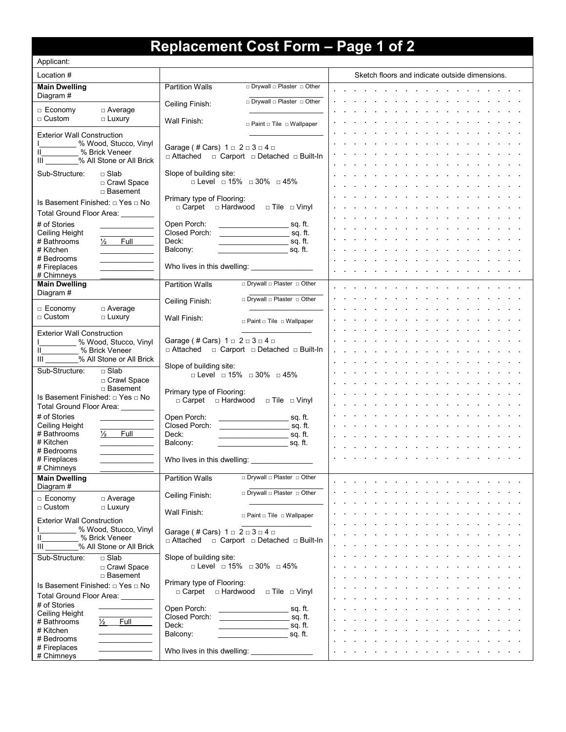# **Replacement Cost Form – Page 1 of 2**

| Applicant:                                     |                             |                                                                 |                                                                                                                           |  |                                                |  |  |  |
|------------------------------------------------|-----------------------------|-----------------------------------------------------------------|---------------------------------------------------------------------------------------------------------------------------|--|------------------------------------------------|--|--|--|
| Location #                                     |                             |                                                                 |                                                                                                                           |  | Sketch floors and indicate outside dimensions. |  |  |  |
| <b>Main Dwelling</b><br>Diagram #              |                             | <b>Partition Walls</b>                                          | □ Drywall □ Plaster □ Other                                                                                               |  |                                                |  |  |  |
| □ Economy                                      | $\Box$ Average              | Ceiling Finish:                                                 | Drywall D Plaster D Other                                                                                                 |  |                                                |  |  |  |
| $\Box$ Custom                                  | $\Box$ Luxury               | Wall Finish:                                                    | □ Paint □ Tile □ Wallpaper                                                                                                |  |                                                |  |  |  |
| <b>Exterior Wall Construction</b>              |                             |                                                                 |                                                                                                                           |  |                                                |  |  |  |
| II<br>% Brick Veneer                           | % Wood, Stucco, Vinyl       | Garage (# Cars) $1 \square 2 \square 3 \square 4 \square$       |                                                                                                                           |  |                                                |  |  |  |
| III % All Stone or All Brick                   |                             | □ Attached □ Carport □ Detached □ Built-In                      |                                                                                                                           |  |                                                |  |  |  |
| Sub-Structure:<br>$\square$ Slab               |                             | Slope of building site:<br>□ Level □ 15% □ 30% □ 45%            |                                                                                                                           |  |                                                |  |  |  |
|                                                | □ Crawl Space<br>□ Basement |                                                                 |                                                                                                                           |  |                                                |  |  |  |
| Is Basement Finished: □ Yes □ No               |                             | Primary type of Flooring:<br>□ Carpet □ Hardwood □ Tile □ Vinyl |                                                                                                                           |  |                                                |  |  |  |
| Total Ground Floor Area:                       |                             |                                                                 |                                                                                                                           |  |                                                |  |  |  |
| # of Stories<br>Ceiling Height                 |                             | Open Porch:<br>Closed Porch:                                    |                                                                                                                           |  |                                                |  |  |  |
| $\frac{1}{2}$<br># Bathrooms                   | Full                        | Deck:                                                           |                                                                                                                           |  |                                                |  |  |  |
| # Kitchen<br># Bedrooms                        |                             | Balcony:                                                        |                                                                                                                           |  |                                                |  |  |  |
| # Fireplaces                                   |                             |                                                                 |                                                                                                                           |  |                                                |  |  |  |
| # Chimneys<br><b>Main Dwelling</b>             |                             | <b>Partition Walls</b>                                          | □ Drywall □ Plaster □ Other                                                                                               |  |                                                |  |  |  |
| Diagram #                                      |                             | Ceiling Finish:                                                 | Drywall D Plaster D Other                                                                                                 |  |                                                |  |  |  |
| $\Box$ Economy                                 | $\Box$ Average              |                                                                 |                                                                                                                           |  |                                                |  |  |  |
| $\square$ Custom                               | $\Box$ Luxury               | Wall Finish:                                                    | $\Box$ Paint $\Box$ Tile $\Box$ Wallpaper                                                                                 |  |                                                |  |  |  |
| <b>Exterior Wall Construction</b>              | % Wood, Stucco, Vinyl       | Garage (# Cars) $1 \square 2 \square 3 \square 4 \square$       |                                                                                                                           |  |                                                |  |  |  |
| II<br>% Brick Veneer                           |                             |                                                                 | □ Attached □ Carport □ Detached □ Built-In                                                                                |  |                                                |  |  |  |
| Ш<br>Sub-Structure:<br>$\Box$ Slab             | % All Stone or All Brick    | Slope of building site:                                         |                                                                                                                           |  |                                                |  |  |  |
|                                                | □ Crawl Space               | □ Level □ 15% □ 30% □ 45%                                       |                                                                                                                           |  |                                                |  |  |  |
| Is Basement Finished: □ Yes □ No               | □ Basement                  | Primary type of Flooring:                                       |                                                                                                                           |  |                                                |  |  |  |
| Total Ground Floor Area:                       |                             | □ Carpet □ Hardwood □ Tile □ Vinyl                              |                                                                                                                           |  |                                                |  |  |  |
| # of Stories                                   |                             | Open Porch:                                                     |                                                                                                                           |  |                                                |  |  |  |
| Ceiling Height<br># Bathrooms<br>$\frac{1}{2}$ | Full                        | Closed Porch:<br>Deck:                                          | sq. ft.                                                                                                                   |  |                                                |  |  |  |
| # Kitchen<br># Bedrooms                        |                             | Balcony:                                                        |                                                                                                                           |  |                                                |  |  |  |
| # Fireplaces                                   |                             |                                                                 |                                                                                                                           |  |                                                |  |  |  |
| # Chimneys<br><b>Main Dwelling</b>             |                             | <b>Partition Walls</b>                                          | □ Drywall □ Plaster □ Other                                                                                               |  |                                                |  |  |  |
| Diagram #                                      |                             |                                                                 | □ Drywall □ Plaster □ Other                                                                                               |  |                                                |  |  |  |
| $\Box$ Economy                                 | $\Box$ Average              | Ceiling Finish:                                                 |                                                                                                                           |  |                                                |  |  |  |
| $\Box$ Custom                                  | $\Box$ Luxury               | Wall Finish:                                                    | $\Box$ Paint $\Box$ Tile $\Box$ Wallpaper                                                                                 |  |                                                |  |  |  |
| <b>Exterior Wall Construction</b>              | % Wood, Stucco, Vinyl       | Garage (# Cars) $1 \square 2 \square 3 \square 4 \square$       |                                                                                                                           |  |                                                |  |  |  |
| % Brick Veneer<br>Ш<br>Ш                       | % All Stone or All Brick    | □ Attached □ Carport □ Detached □ Built-In                      |                                                                                                                           |  |                                                |  |  |  |
| $\Box$ Slab<br>Sub-Structure:                  |                             | Slope of building site:                                         |                                                                                                                           |  |                                                |  |  |  |
|                                                | □ Crawl Space<br>□ Basement | □ Level □ 15% □ 30% □ 45%                                       |                                                                                                                           |  |                                                |  |  |  |
| Is Basement Finished: □ Yes □ No               |                             | Primary type of Flooring:                                       |                                                                                                                           |  |                                                |  |  |  |
| Total Ground Floor Area:                       |                             | $\Box$ Carpet $\Box$ Hardwood $\Box$ Tile $\Box$ Vinyl          |                                                                                                                           |  |                                                |  |  |  |
| # of Stories<br>Ceiling Height                 |                             | Open Porch:                                                     | sq. ft.                                                                                                                   |  |                                                |  |  |  |
| # Bathrooms<br>$\frac{1}{2}$                   | Full                        | Closed Porch:<br>Deck:                                          | in the second service service services and service services of the service service service services of the ser<br>sg. ft. |  |                                                |  |  |  |
| # Kitchen<br># Bedrooms                        |                             | Balcony:                                                        | in the set of the set of the set of the set of the set of the set of the set of the set of the set of the set o           |  |                                                |  |  |  |
| # Fireplaces                                   |                             |                                                                 |                                                                                                                           |  |                                                |  |  |  |
| # Chimneys                                     |                             |                                                                 |                                                                                                                           |  |                                                |  |  |  |